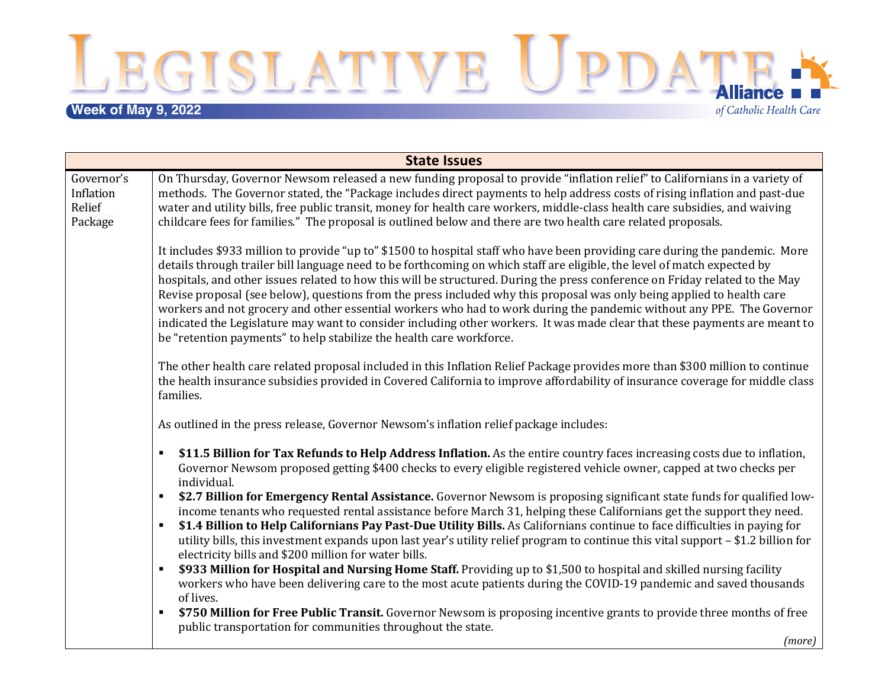LEGISLATIVE UPDATE:

## **Week of May 9, 2022**

of Catholic Health Care

| <b>State Issues</b>                          |                                                                                                                                                                                                                                                                                                                                                                                                                                                                                                                                                                                                                                                                                                                                                                                                                                                   |  |
|----------------------------------------------|---------------------------------------------------------------------------------------------------------------------------------------------------------------------------------------------------------------------------------------------------------------------------------------------------------------------------------------------------------------------------------------------------------------------------------------------------------------------------------------------------------------------------------------------------------------------------------------------------------------------------------------------------------------------------------------------------------------------------------------------------------------------------------------------------------------------------------------------------|--|
| Governor's<br>Inflation<br>Relief<br>Package | On Thursday, Governor Newsom released a new funding proposal to provide "inflation relief" to Californians in a variety of<br>methods. The Governor stated, the "Package includes direct payments to help address costs of rising inflation and past-due<br>water and utility bills, free public transit, money for health care workers, middle-class health care subsidies, and waiving<br>childcare fees for families." The proposal is outlined below and there are two health care related proposals.                                                                                                                                                                                                                                                                                                                                         |  |
|                                              | It includes \$933 million to provide "up to" \$1500 to hospital staff who have been providing care during the pandemic. More<br>details through trailer bill language need to be forthcoming on which staff are eligible, the level of match expected by<br>hospitals, and other issues related to how this will be structured. During the press conference on Friday related to the May<br>Revise proposal (see below), questions from the press included why this proposal was only being applied to health care<br>workers and not grocery and other essential workers who had to work during the pandemic without any PPE. The Governor<br>indicated the Legislature may want to consider including other workers. It was made clear that these payments are meant to<br>be "retention payments" to help stabilize the health care workforce. |  |
|                                              | The other health care related proposal included in this Inflation Relief Package provides more than \$300 million to continue<br>the health insurance subsidies provided in Covered California to improve affordability of insurance coverage for middle class<br>families.                                                                                                                                                                                                                                                                                                                                                                                                                                                                                                                                                                       |  |
|                                              | As outlined in the press release, Governor Newsom's inflation relief package includes:                                                                                                                                                                                                                                                                                                                                                                                                                                                                                                                                                                                                                                                                                                                                                            |  |
|                                              | \$11.5 Billion for Tax Refunds to Help Address Inflation. As the entire country faces increasing costs due to inflation,<br>$\blacksquare$<br>Governor Newsom proposed getting \$400 checks to every eligible registered vehicle owner, capped at two checks per<br>individual.                                                                                                                                                                                                                                                                                                                                                                                                                                                                                                                                                                   |  |
|                                              | \$2.7 Billion for Emergency Rental Assistance. Governor Newsom is proposing significant state funds for qualified low-<br>$\blacksquare$<br>income tenants who requested rental assistance before March 31, helping these Californians get the support they need.<br>\$1.4 Billion to Help Californians Pay Past-Due Utility Bills. As Californians continue to face difficulties in paying for<br>$\blacksquare$<br>utility bills, this investment expands upon last year's utility relief program to continue this vital support - \$1.2 billion for<br>electricity bills and \$200 million for water bills.<br>\$933 Million for Hospital and Nursing Home Staff. Providing up to \$1,500 to hospital and skilled nursing facility                                                                                                             |  |
|                                              | workers who have been delivering care to the most acute patients during the COVID-19 pandemic and saved thousands<br>of lives.                                                                                                                                                                                                                                                                                                                                                                                                                                                                                                                                                                                                                                                                                                                    |  |
|                                              | \$750 Million for Free Public Transit. Governor Newsom is proposing incentive grants to provide three months of free<br>$\blacksquare$<br>public transportation for communities throughout the state.                                                                                                                                                                                                                                                                                                                                                                                                                                                                                                                                                                                                                                             |  |
|                                              | (more)                                                                                                                                                                                                                                                                                                                                                                                                                                                                                                                                                                                                                                                                                                                                                                                                                                            |  |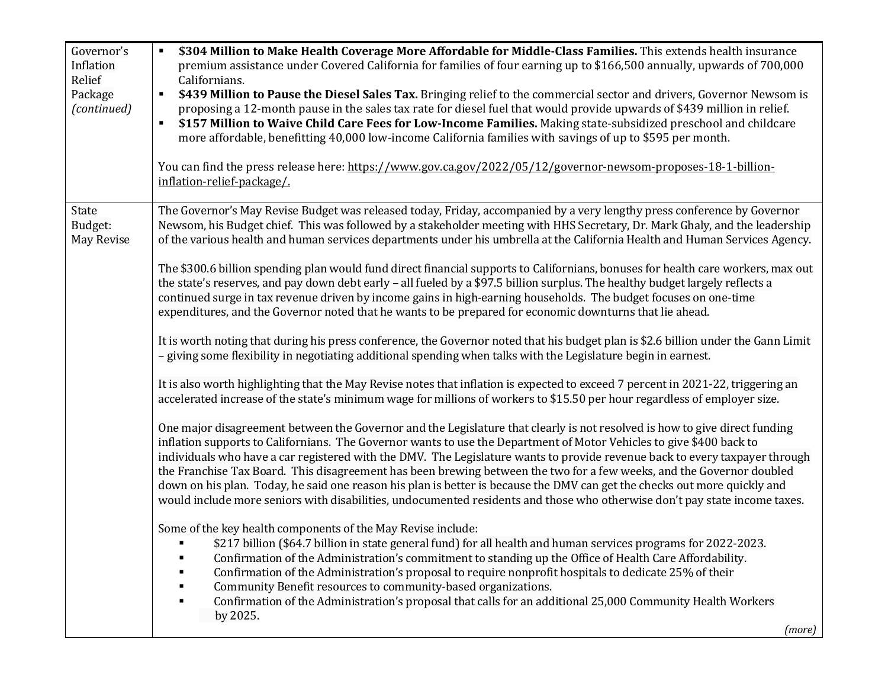| Governor's<br>Inflation<br>Relief<br>Package<br>(continued) | \$304 Million to Make Health Coverage More Affordable for Middle-Class Families. This extends health insurance<br>premium assistance under Covered California for families of four earning up to \$166,500 annually, upwards of 700,000<br>Californians.<br>\$439 Million to Pause the Diesel Sales Tax. Bringing relief to the commercial sector and drivers, Governor Newsom is<br>$\blacksquare$<br>proposing a 12-month pause in the sales tax rate for diesel fuel that would provide upwards of \$439 million in relief.<br>\$157 Million to Waive Child Care Fees for Low-Income Families. Making state-subsidized preschool and childcare<br>$\blacksquare$<br>more affordable, benefitting 40,000 low-income California families with savings of up to \$595 per month.<br>You can find the press release here: https://www.gov.ca.gov/2022/05/12/governor-newsom-proposes-18-1-billion-<br>inflation-relief-package/. |
|-------------------------------------------------------------|---------------------------------------------------------------------------------------------------------------------------------------------------------------------------------------------------------------------------------------------------------------------------------------------------------------------------------------------------------------------------------------------------------------------------------------------------------------------------------------------------------------------------------------------------------------------------------------------------------------------------------------------------------------------------------------------------------------------------------------------------------------------------------------------------------------------------------------------------------------------------------------------------------------------------------|
| State<br>Budget:<br><b>May Revise</b>                       | The Governor's May Revise Budget was released today, Friday, accompanied by a very lengthy press conference by Governor<br>Newsom, his Budget chief. This was followed by a stakeholder meeting with HHS Secretary, Dr. Mark Ghaly, and the leadership<br>of the various health and human services departments under his umbrella at the California Health and Human Services Agency.                                                                                                                                                                                                                                                                                                                                                                                                                                                                                                                                           |
|                                                             | The \$300.6 billion spending plan would fund direct financial supports to Californians, bonuses for health care workers, max out<br>the state's reserves, and pay down debt early - all fueled by a \$97.5 billion surplus. The healthy budget largely reflects a<br>continued surge in tax revenue driven by income gains in high-earning households. The budget focuses on one-time<br>expenditures, and the Governor noted that he wants to be prepared for economic downturns that lie ahead.                                                                                                                                                                                                                                                                                                                                                                                                                               |
|                                                             | It is worth noting that during his press conference, the Governor noted that his budget plan is \$2.6 billion under the Gann Limit<br>- giving some flexibility in negotiating additional spending when talks with the Legislature begin in earnest.                                                                                                                                                                                                                                                                                                                                                                                                                                                                                                                                                                                                                                                                            |
|                                                             | It is also worth highlighting that the May Revise notes that inflation is expected to exceed 7 percent in 2021-22, triggering an<br>accelerated increase of the state's minimum wage for millions of workers to \$15.50 per hour regardless of employer size.                                                                                                                                                                                                                                                                                                                                                                                                                                                                                                                                                                                                                                                                   |
|                                                             | One major disagreement between the Governor and the Legislature that clearly is not resolved is how to give direct funding<br>inflation supports to Californians. The Governor wants to use the Department of Motor Vehicles to give \$400 back to<br>individuals who have a car registered with the DMV. The Legislature wants to provide revenue back to every taxpayer through<br>the Franchise Tax Board. This disagreement has been brewing between the two for a few weeks, and the Governor doubled<br>down on his plan. Today, he said one reason his plan is better is because the DMV can get the checks out more quickly and<br>would include more seniors with disabilities, undocumented residents and those who otherwise don't pay state income taxes.                                                                                                                                                           |
|                                                             | Some of the key health components of the May Revise include:<br>\$217 billion (\$64.7 billion in state general fund) for all health and human services programs for 2022-2023.<br>Confirmation of the Administration's commitment to standing up the Office of Health Care Affordability.<br>٠<br>Confirmation of the Administration's proposal to require nonprofit hospitals to dedicate 25% of their<br>٠                                                                                                                                                                                                                                                                                                                                                                                                                                                                                                                    |
|                                                             | Community Benefit resources to community-based organizations.<br>Confirmation of the Administration's proposal that calls for an additional 25,000 Community Health Workers<br>٠<br>by 2025.<br>(more)                                                                                                                                                                                                                                                                                                                                                                                                                                                                                                                                                                                                                                                                                                                          |
|                                                             |                                                                                                                                                                                                                                                                                                                                                                                                                                                                                                                                                                                                                                                                                                                                                                                                                                                                                                                                 |